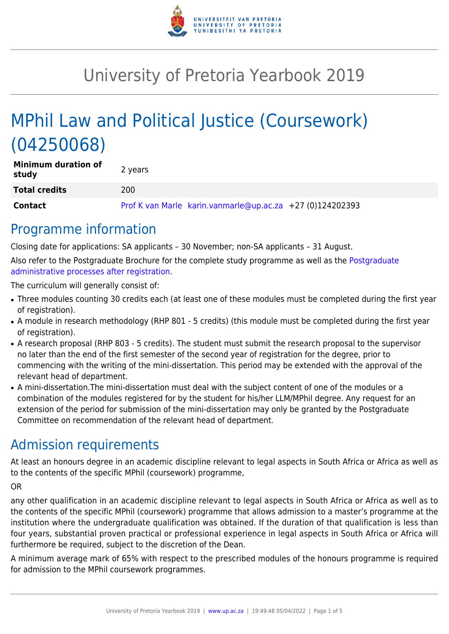

# University of Pretoria Yearbook 2019

# MPhil Law and Political Justice (Coursework) (04250068)

| <b>Minimum duration of</b><br>study | 2 years                                                   |
|-------------------------------------|-----------------------------------------------------------|
| <b>Total credits</b>                | 200                                                       |
| Contact                             | Prof K van Marle karin.vanmarle@up.ac.za +27 (0)124202393 |

### Programme information

Closing date for applications: SA applicants – 30 November; non-SA applicants – 31 August.

Also refer to the Postgraduate Brochure for the complete study programme as well as the [Postgraduate](http://www.up.ac.za/media/shared/10/ZP_Files/post-graduate-administrative-processes-brochures-for-the-faculty-web.zp124870.pdf) [administrative processes after registration.](http://www.up.ac.za/media/shared/10/ZP_Files/post-graduate-administrative-processes-brochures-for-the-faculty-web.zp124870.pdf)

The curriculum will generally consist of:

- Three modules counting 30 credits each (at least one of these modules must be completed during the first year of registration).
- A module in research methodology (RHP 801 5 credits) (this module must be completed during the first year of registration).
- A research proposal (RHP 803 5 credits). The student must submit the research proposal to the supervisor no later than the end of the first semester of the second year of registration for the degree, prior to commencing with the writing of the mini-dissertation. This period may be extended with the approval of the relevant head of department.
- A mini-dissertation. The mini-dissertation must deal with the subject content of one of the modules or a combination of the modules registered for by the student for his/her LLM/MPhil degree. Any request for an extension of the period for submission of the mini-dissertation may only be granted by the Postgraduate Committee on recommendation of the relevant head of department.

### Admission requirements

At least an honours degree in an academic discipline relevant to legal aspects in South Africa or Africa as well as to the contents of the specific MPhil (coursework) programme,

OR

any other qualification in an academic discipline relevant to legal aspects in South Africa or Africa as well as to the contents of the specific MPhil (coursework) programme that allows admission to a master's programme at the institution where the undergraduate qualification was obtained. If the duration of that qualification is less than four years, substantial proven practical or professional experience in legal aspects in South Africa or Africa will furthermore be required, subject to the discretion of the Dean.

A minimum average mark of 65% with respect to the prescribed modules of the honours programme is required for admission to the MPhil coursework programmes.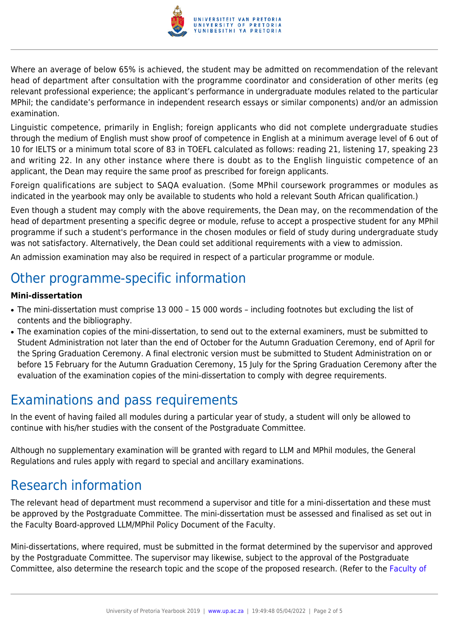

Where an average of below 65% is achieved, the student may be admitted on recommendation of the relevant head of department after consultation with the programme coordinator and consideration of other merits (eg relevant professional experience; the applicant's performance in undergraduate modules related to the particular MPhil; the candidate's performance in independent research essays or similar components) and/or an admission examination.

Linguistic competence, primarily in English; foreign applicants who did not complete undergraduate studies through the medium of English must show proof of competence in English at a minimum average level of 6 out of 10 for IELTS or a minimum total score of 83 in TOEFL calculated as follows: reading 21, listening 17, speaking 23 and writing 22. In any other instance where there is doubt as to the English linguistic competence of an applicant, the Dean may require the same proof as prescribed for foreign applicants.

Foreign qualifications are subject to SAQA evaluation. (Some MPhil coursework programmes or modules as indicated in the yearbook may only be available to students who hold a relevant South African qualification.)

Even though a student may comply with the above requirements, the Dean may, on the recommendation of the head of department presenting a specific degree or module, refuse to accept a prospective student for any MPhil programme if such a student's performance in the chosen modules or field of study during undergraduate study was not satisfactory. Alternatively, the Dean could set additional requirements with a view to admission.

An admission examination may also be required in respect of a particular programme or module.

### Other programme-specific information

#### **Mini-dissertation**

- The mini-dissertation must comprise 13 000 15 000 words including footnotes but excluding the list of contents and the bibliography.
- The examination copies of the mini-dissertation, to send out to the external examiners, must be submitted to Student Administration not later than the end of October for the Autumn Graduation Ceremony, end of April for the Spring Graduation Ceremony. A final electronic version must be submitted to Student Administration on or before 15 February for the Autumn Graduation Ceremony, 15 July for the Spring Graduation Ceremony after the evaluation of the examination copies of the mini-dissertation to comply with degree requirements.

### Examinations and pass requirements

In the event of having failed all modules during a particular year of study, a student will only be allowed to continue with his/her studies with the consent of the Postgraduate Committee.

Although no supplementary examination will be granted with regard to LLM and MPhil modules, the General Regulations and rules apply with regard to special and ancillary examinations.

### Research information

The relevant head of department must recommend a supervisor and title for a mini-dissertation and these must be approved by the Postgraduate Committee. The mini-dissertation must be assessed and finalised as set out in the Faculty Board-approved LLM/MPhil Policy Document of the Faculty.

Mini-dissertations, where required, must be submitted in the format determined by the supervisor and approved by the Postgraduate Committee. The supervisor may likewise, subject to the approval of the Postgraduate Committee, also determine the research topic and the scope of the proposed research. (Refer to the [Faculty of](http://www.up.ac.za/media/shared/10/ZP_Files/faculty-regulations-for-the-mini-dissertation.zp124872.pdf)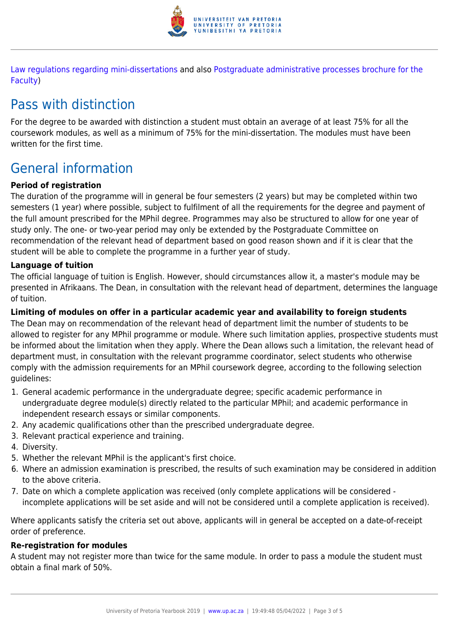

[Law regulations regarding mini-dissertations](http://www.up.ac.za/media/shared/10/ZP_Files/faculty-regulations-for-the-mini-dissertation.zp124872.pdf) and also [Postgraduate administrative processes brochure for the](http://www.up.ac.za/media/shared/10/ZP_Files/post-graduate-administrative-processes-brochures-for-the-faculty-web.zp124870.pdf) [Faculty](http://www.up.ac.za/media/shared/10/ZP_Files/post-graduate-administrative-processes-brochures-for-the-faculty-web.zp124870.pdf))

## Pass with distinction

For the degree to be awarded with distinction a student must obtain an average of at least 75% for all the coursework modules, as well as a minimum of 75% for the mini-dissertation. The modules must have been written for the first time.

## General information

#### **Period of registration**

The duration of the programme will in general be four semesters (2 years) but may be completed within two semesters (1 year) where possible, subject to fulfilment of all the requirements for the degree and payment of the full amount prescribed for the MPhil degree. Programmes may also be structured to allow for one year of study only. The one- or two-year period may only be extended by the Postgraduate Committee on recommendation of the relevant head of department based on good reason shown and if it is clear that the student will be able to complete the programme in a further year of study.

#### **Language of tuition**

The official language of tuition is English. However, should circumstances allow it, a master's module may be presented in Afrikaans. The Dean, in consultation with the relevant head of department, determines the language of tuition.

#### **Limiting of modules on offer in a particular academic year and availability to foreign students**

The Dean may on recommendation of the relevant head of department limit the number of students to be allowed to register for any MPhil programme or module. Where such limitation applies, prospective students must be informed about the limitation when they apply. Where the Dean allows such a limitation, the relevant head of department must, in consultation with the relevant programme coordinator, select students who otherwise comply with the admission requirements for an MPhil coursework degree, according to the following selection guidelines:

- 1. General academic performance in the undergraduate degree; specific academic performance in undergraduate degree module(s) directly related to the particular MPhil; and academic performance in independent research essays or similar components.
- 2. Any academic qualifications other than the prescribed undergraduate degree.
- 3. Relevant practical experience and training.
- 4. Diversity.
- 5. Whether the relevant MPhil is the applicant's first choice.
- 6. Where an admission examination is prescribed, the results of such examination may be considered in addition to the above criteria.
- 7. Date on which a complete application was received (only complete applications will be considered incomplete applications will be set aside and will not be considered until a complete application is received).

Where applicants satisfy the criteria set out above, applicants will in general be accepted on a date-of-receipt order of preference.

#### **Re-registration for modules**

A student may not register more than twice for the same module. In order to pass a module the student must obtain a final mark of 50%.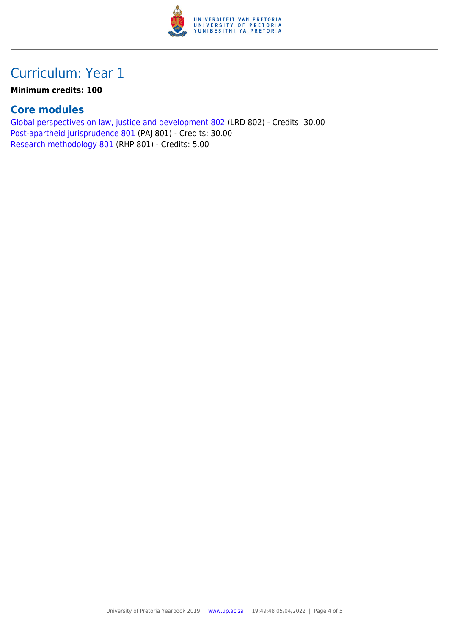

### Curriculum: Year 1

#### **Minimum credits: 100**

### **Core modules**

[Global perspectives on law, justice and development 802](https://www.up.ac.za/yearbooks/2019/modules/view/LRD 802) (LRD 802) - Credits: 30.00 [Post-apartheid jurisprudence 801](https://www.up.ac.za/yearbooks/2019/modules/view/PAJ 801) (PAJ 801) - Credits: 30.00 [Research methodology 801](https://www.up.ac.za/yearbooks/2019/modules/view/RHP 801) (RHP 801) - Credits: 5.00